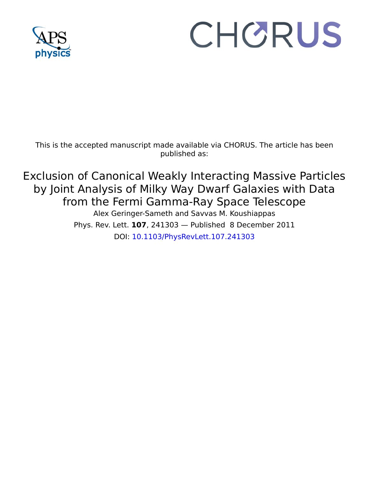

## CHORUS

This is the accepted manuscript made available via CHORUS. The article has been published as:

Exclusion of Canonical Weakly Interacting Massive Particles by Joint Analysis of Milky Way Dwarf Galaxies with Data from the Fermi Gamma-Ray Space Telescope

Alex Geringer-Sameth and Savvas M. Koushiappas Phys. Rev. Lett. **107**, 241303 — Published 8 December 2011 DOI: [10.1103/PhysRevLett.107.241303](http://dx.doi.org/10.1103/PhysRevLett.107.241303)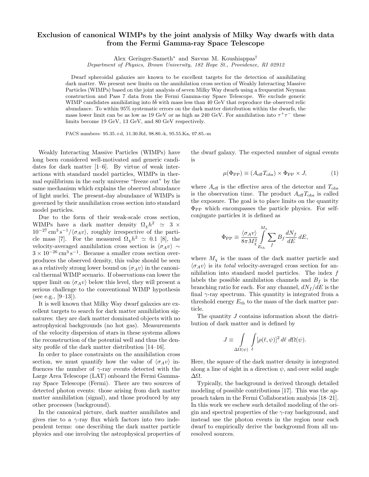## Exclusion of canonical WIMPs by the joint analysis of Milky Way dwarfs with data from the Fermi Gamma-ray Space Telescope

Alex Geringer-Sameth<sup>∗</sup> and Savvas M. Koushiappas†

Department of Physics, Brown University, 182 Hope St., Providence, RI 02912

Dwarf spheroidal galaxies are known to be excellent targets for the detection of annihilating dark matter. We present new limits on the annihilation cross section of Weakly Interacting Massive Particles (WIMPs) based on the joint analysis of seven Milky Way dwarfs using a frequentist Neyman construction and Pass 7 data from the Fermi Gamma-ray Space Telescope. We exclude generic WIMP candidates annihilating into  $b\bar{b}$  with mass less than 40 GeV that reproduce the observed relic abundance. To within 95% systematic errors on the dark matter distribution within the dwarfs, the mass lower limit can be as low as 19 GeV or as high as 240 GeV. For annihilation into  $\tau^+\tau^-$  these limits become 19 GeV, 13 GeV, and 80 GeV respectively.

PACS numbers: 95.35.+d, 11.30.Rd, 98.80.-k, 95.55.Ka, 07.85.-m

Weakly Interacting Massive Particles (WIMPs) have long been considered well-motivated and generic candidates for dark matter [1–6]. By virtue of weak interactions with standard model particles, WIMPs in thermal equilibrium in the early universe "freeze out" by the same mechanism which explains the observed abundance of light nuclei. The present-day abundance of WIMPs is governed by their annihilation cross section into standard model particles.

Due to the form of their weak-scale cross section, WIMPs have a dark matter density  $\Omega_{\chi} h^2 \simeq 3 \times$  $10^{-27}$  cm<sup>3</sup> s<sup>-1</sup>/ $\langle \sigma_A v \rangle$ , roughly irrespective of the particle mass [7]. For the measured  $\Omega_{\chi} h^2 \simeq 0.1$  [8], the velocity-averaged annihilation cross section is  $\langle \sigma_A v \rangle \sim$  $3 \times 10^{-26} \,\mathrm{cm}^3 \,\mathrm{s}^{-1}$ . Because a smaller cross section overproduces the observed density, this value should be seen as a relatively strong lower bound on  $\langle \sigma_A v \rangle$  in the canonical thermal WIMP scenario. If observations can lower the upper limit on  $\langle \sigma_A v \rangle$  below this level, they will present a serious challenge to the conventional WIMP hypothesis (see e.g.,  $[9-13]$ ).

It is well known that Milky Way dwarf galaxies are excellent targets to search for dark matter annihilation signatures: they are dark matter dominated objects with no astrophysical backgrounds (no hot gas). Measurements of the velocity dispersion of stars in these systems allows the reconstruction of the potential well and thus the density profile of the dark matter distribution [14–16].

In order to place constraints on the annihilation cross section, we must quantify how the value of  $\langle \sigma_A v \rangle$  influences the number of  $\gamma$ -ray events detected with the Large Area Telescope (LAT) onboard the Fermi Gammaray Space Telescope (Fermi). There are two sources of detected photon events: those arising from dark matter matter annihilation (signal), and those produced by any other processes (background).

In the canonical picture, dark matter annihilates and gives rise to a  $\gamma$ -ray flux which factors into two independent terms: one describing the dark matter particle physics and one involving the astrophysical properties of the dwarf galaxy. The expected number of signal events is

$$
\mu(\Phi_{\rm PP}) \equiv (A_{\rm eff} T_{\rm obs}) \times \Phi_{\rm PP} \times J,\tag{1}
$$

where  $A_{\text{eff}}$  is the effective area of the detector and  $T_{\text{obs}}$ is the observation time. The product  $A_{\text{eff}}T_{\text{obs}}$  is called the exposure. The goal is to place limits on the quantity  $\Phi_{\rm PP}$  which encompasses the particle physics. For selfconjugate particles it is defined as

$$
\Phi_{\rm PP} \equiv \frac{\langle \sigma_A v \rangle}{8\pi M_{\chi}^2} \int\limits_{E_{\rm th}}^{M_{\chi}} \sum_f B_f \frac{dN_f}{dE} dE,
$$

where  $M_{\chi}$  is the mass of the dark matter particle and  $\langle \sigma_A v \rangle$  is its *total* velocity-averaged cross section for annihilation into standard model particles. The index  $f$ labels the possible annihilation channels and  $B_f$  is the branching ratio for each. For any channel,  $dN_f/dE$  is the final  $\gamma$ -ray spectrum. This quantity is integrated from a threshold energy  $E_{\text{th}}$  to the mass of the dark matter particle.

The quantity J contains information about the distribution of dark matter and is defined by

$$
J \equiv \int\limits_{\Delta\Omega(\psi)} \int\limits_{\ell} [\rho(\ell,\psi)]^2 \, d\ell \, d\Omega(\psi).
$$

Here, the square of the dark matter density is integrated along a line of sight in a direction  $\psi$ , and over solid angle ∆Ω.

Typically, the background is derived through detailed modeling of possible contributions [17]. This was the approach taken in the Fermi Collaboration analysis [18–21]. In this work we eschew such detailed modeling of the origin and spectral properties of the  $\gamma$ -ray background, and instead use the photon events in the region near each dwarf to empirically derive the background from all unresolved sources.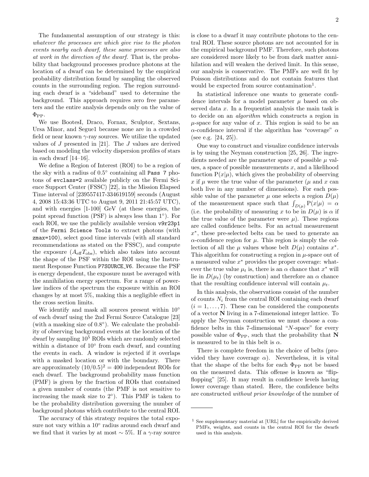The fundamental assumption of our strategy is this: whatever the processes are which give rise to the photon events nearby each dwarf, these same processes are also at work in the direction of the dwarf. That is, the probability that background processes produce photons at the location of a dwarf can be determined by the empirical probability distribution found by sampling the observed counts in the surrounding region. The region surrounding each dwarf is a "sideband" used to determine the background. This approach requires zero free parameters and the entire analysis depends only on the value of  $\Phi_{\rm PP}$ .

We use BootesI, Draco, Fornax, Sculptor, Sextans, Ursa Minor, and Segue1 because none are in a crowded field or near known  $\gamma$ -ray sources. We utilize the updated values of J presented in [21]. The J values are derived based on modeling the velocity dispersion profiles of stars in each dwarf [14–16].

We define a Region of Interest (ROI) to be a region of the sky with a radius of  $0.5^{\circ}$  containing all Pass 7 photons of evclass=2 available publicly on the Fermi Science Support Center (FSSC) [22], in the Mission Elapsed Time interval of [239557417-334619159] seconds (August 4, 2008 15:43:36 UTC to August 9, 2011 21:45:57 UTC), and with energies [1-100] GeV (at these energies, the point spread function (PSF) is always less than 1◦ ). For each ROI, we use the publicly available version v9r23p1 of the Fermi Science Tools to extract photons (with zmax=100), select good time intervals (with all standard recommendations as stated on the FSSC), and compute the exposure  $(A_{\text{eff}}T_{\text{obs}})$ , which also takes into account the shape of the PSF within the ROI using the Instrument Response Function P7SOURCE V6. Because the PSF is energy dependent, the exposure must be averaged with the annihilation energy spectrum. For a range of powerlaw indices of the spectrum the exposure within an ROI changes by at most 5%, making this a negligible effect in the cross section limits.

We identify and mask all sources present within 10<sup>°</sup> of each dwarf using the 2nd Fermi Source Catalogue [23] (with a masking size of 0.8◦ ). We calculate the probability of observing background events at the location of the dwarf by sampling 10<sup>5</sup> ROIs which are randomly selected within a distance of 10<sup>°</sup> from each dwarf, and counting the events in each. A window is rejected if it overlaps with a masked location or with the boundary. There are approximately  $(10/0.5)^2 = 400$  independent ROIs for each dwarf. The background probability mass function (PMF) is given by the fraction of ROIs that contained a given number of counts (the PMF is not sensitive to increasing the mask size to  $2°$ ). This PMF is taken to be the probability distribution governing the number of background photons which contribute to the central ROI.

The accuracy of this strategy requires the total exposure not vary within a 10<sup>°</sup> radius around each dwarf and we find that it varies by at most  $\sim$  5%. If a  $\gamma$ -ray source is close to a dwarf it may contribute photons to the central ROI. These source photons are not accounted for in the empirical background PMF. Therefore, such photons are considered more likely to be from dark matter annihilation and will weaken the derived limit. In this sense, our analysis is conservative. The PMFs are well fit by Poisson distributions and do not contain features that would be expected from source contamination<sup>1</sup>.

In statistical inference one wants to generate confidence intervals for a model parameter  $\mu$  based on observed data x. In a frequentist analysis the main task is to decide on an algorithm which constructs a region in  $\mu$ -space for any value of x. This region is said to be an  $\alpha$ -confidence interval if the algorithm has "coverage"  $\alpha$ (see e.g. [24, 25]).

One way to construct and visualize confidence intervals is by using the Neyman construction [25, 26]. The ingredients needed are the parameter space of possible  $\mu$  values, a space of possible measurements  $x$ , and a likelihood function  $P(x|\mu)$ , which gives the probability of observing x if  $\mu$  were the true value of the parameter ( $\mu$  and x can both live in any number of dimensions). For each possible value of the parameter  $\mu$  one selects a region  $D(\mu)$ of the measurement space such that  $\int_{D(\mu)} P(x|\mu) = \alpha$ (i.e. the probability of measuring x to be in  $D(\mu)$  is  $\alpha$  if the true value of the parameter were  $\mu$ ). These regions are called confidence belts. For an actual measurement x ∗ , these pre-selected belts can be used to generate an  $\alpha$ -confidence region for  $\mu$ . This region is simply the collection of all the  $\mu$  values whose belt  $D(\mu)$  contains  $x^*$ . This algorithm for constructing a region in  $\mu$ -space out of a measured value  $x^*$  provides the proper coverage: whatever the true value  $\mu_t$  is, there is an  $\alpha$  chance that  $x^*$  will lie in  $D(\mu_t)$  (by construction) and therefore an  $\alpha$  chance that the resulting confidence interval will contain  $\mu_t$ .

In this analysis, the observations consist of the number of counts  $N_i$  from the central ROI containing each dwarf  $(i = 1, \ldots, 7)$ . These can be considered the components of a vector N living in a 7-dimensional integer lattice. To apply the Neyman construction we must choose a confidence belts in this 7-dimensional "N-space" for every possible value of  $\Phi_{\rm PP}$ , such that the probability that N is measured to be in this belt is  $\alpha$ .

There is complete freedom in the choice of belts (provided they have coverage  $\alpha$ ). Nevertheless, it is vital that the shape of the belts for each  $\Phi_{PP}$  not be based on the measured data. This offense is known as "flipflopping" [25]. It may result in confidence levels having lower coverage than stated. Here, the confidence belts are constructed without prior knowledge of the number of

<sup>1</sup> See supplementary material at [URL] for the empirically derived PMFs, weights, and counts in the central ROI for the dwarfs used in this analysis.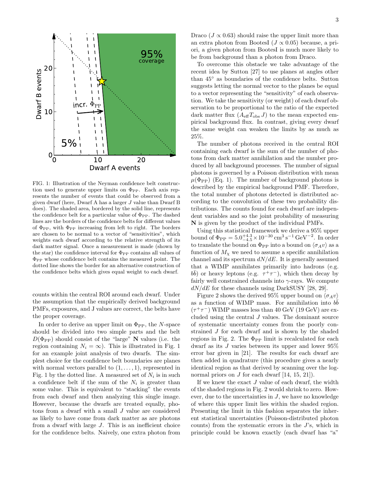

FIG. 1: Illustration of the Neyman confidence belt construction used to generate upper limits on  $\Phi_{PP}$ . Each axis represents the number of events that could be observed from a given dwarf (here, Dwarf A has a larger J value than Dwarf B does). The shaded area, bordered by the solid line, represents the confidence belt for a particular value of  $\Phi_{\text{PP}}$ . The dashed lines are the borders of the confidence belts for different values of  $\Phi_{PP}$ , with  $\Phi_{PP}$  increasing from left to right. The borders are chosen to be normal to a vector of "sensitivities", which weights each dwarf according to the relative strength of its dark matter signal. Once a measurement is made (shown by the star) the confidence interval for  $\Phi_{PP}$  contains all values of  $\Phi_{\rm PP}$  whose confidence belt contains the measured point. The dotted line shows the border for an alternative construction of the confidence belts which gives equal weight to each dwarf.

counts within the central ROI around each dwarf. Under the assumption that the empirically derived background PMFs, exposures, and J values are correct, the belts have the proper coverage.

In order to derive an upper limit on  $\Phi_\mathrm{PP},$  the  $N\text{-space}$ should be divided into two simple parts and the belt  $D(\Phi_{\rm PP})$  should consist of the "large" N values (i.e. the region containing  $N_i = \infty$ ). This is illustrated in Fig. 1 for an example joint analysis of two dwarfs. The simplest choice for the confidence belt boundaries are planes with normal vectors parallel to  $(1, \ldots, 1)$ , represented in Fig. 1 by the dotted line. A measured set of  $N_i$  is in such a confidence belt if the sum of the  $N_i$  is greater than some value. This is equivalent to "stacking" the events from each dwarf and then analyzing this single image. However, because the dwarfs are treated equally, photons from a dwarf with a small J value are considered as likely to have come from dark matter as are photons from a dwarf with large J. This is an inefficient choice for the confidence belts. Naively, one extra photon from

Draco ( $J \propto 0.63$ ) should raise the upper limit more than an extra photon from BootesI ( $J \propto 0.05$ ) because, a priori, a given photon from BootesI is much more likely to be from background than a photon from Draco.

To overcome this obstacle we take advantage of the recent idea by Sutton [27] to use planes at angles other than 45◦ as boundaries of the confidence belts. Sutton suggests letting the normal vector to the planes be equal to a vector representing the "sensitivity" of each observation. We take the sensitivity (or weight) of each dwarf observation to be proportional to the ratio of the expected dark matter flux  $(A_{\text{eff}}T_{\text{obs}}J)$  to the mean expected empirical background flux. In contrast, giving every dwarf the same weight can weaken the limits by as much as 25%.

The number of photons received in the central ROI containing each dwarf is the sum of the number of photons from dark matter annihilation and the number produced by all background processes. The number of signal photons is governed by a Poisson distribution with mean  $\mu(\Phi_{\rm PP})$  (Eq. 1). The number of background photons is described by the empirical background PMF. Therefore, the total number of photons detected is distributed according to the convolution of these two probability distributions. The counts found for each dwarf are independent variables and so the joint probability of measuring N is given by the product of the individual PMFs.

Using this statistical framework we derive a 95% upper bound of  $\Phi_{\rm PP} = 5.0^{+4.3}_{-4.5} \times 10^{-30} \,\rm cm^3\,s^{-1}\,GeV^{-2}$ . In order to translate the bound on  $\Phi_{\rm PP}$  into a bound on  $\langle \sigma_A v \rangle$  as a function of  $M_{\chi}$  we need to assume a specific annihilation channel and its spectrum  $dN/dE$ . It is generally assumed that a WIMP annihilates primarily into hadrons (e.g.  $b\bar{b}$ ) or heavy leptons (e.g.  $\tau^+\tau^-$ ), which then decay by fairly well constrained channels into  $\gamma$ -rays. We compute  $dN/dE$  for these channels using DarkSUSY [28, 29].

Figure 2 shows the derived 95% upper bound on  $\langle \sigma_A v \rangle$ as a function of WIMP mass. For annihilation into  $b\overline{b}$  $(\tau^+\tau^-)$  WIMP masses less than 40 GeV (19 GeV) are excluded using the central  $J$  values. The dominant source of systematic uncertainty comes from the poorly constrained J for each dwarf and is shown by the shaded regions in Fig. 2. The  $\Phi_{PP}$  limit is recalculated for each dwarf as its  $J$  varies between its upper and lower  $95\%$ error bar given in [21]. The results for each dwarf are then added in quadrature (this procedure gives a nearly identical region as that derived by scanning over the lognormal priors on  $J$  for each dwarf  $[14, 15, 21]$ .

If we knew the exact  $J$  value of each dwarf, the width of the shaded regions in Fig. 2 would shrink to zero. However, due to the uncertainties in  $J$ , we have no knowledge of where this upper limit lies within the shaded region. Presenting the limit in this fashion separates the inherent statistical uncertainties (Poisson-distributed photon counts) from the systematic errors in the J's, which in principle could be known exactly (each dwarf has "a"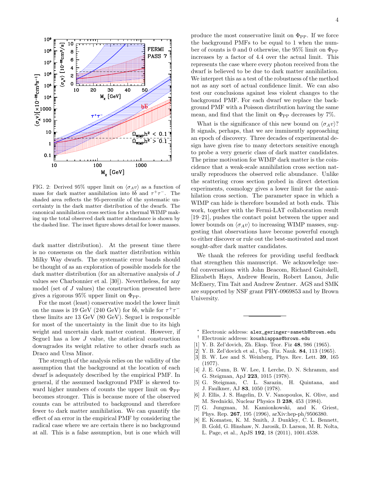

FIG. 2: Derived 95% upper limit on  $\langle \sigma_A v \rangle$  as a function of mass for dark matter annihilation into  $b\bar{b}$  and  $\tau^+\tau^-$ . The shaded area reflects the 95-percentile of the systematic uncertainty in the dark matter distribution of the dwarfs. The canonical annihilation cross section for a thermal WIMP making up the total observed dark matter abundance is shown by the dashed line. The inset figure shows detail for lower masses.

dark matter distribution). At the present time there is no consensus on the dark matter distribution within Milky Way dwarfs. The systematic error bands should be thought of as an exploration of possible models for the dark matter distribution (for an alternative analysis of J values see Charbonnier et al. [30]). Nevertheless, for any model (set of J values) the construction presented here gives a rigorous  $95\%$  upper limit on  $\Phi_{PP}$ .

For the most (least) conservative model the lower limit on the mass is 19 GeV (240 GeV) for  $b\bar{b}$ , while for  $\tau^+\tau^$ these limits are  $13 \text{ GeV}$  (80 GeV). Segue1 is responsible for most of the uncertainty in the limit due to its high weight and uncertain dark matter content. However, if Segue1 has a low  $J$  value, the statistical construction downgrades its weight relative to other dwarfs such as Draco and Ursa Minor.

The strength of the analysis relies on the validity of the assumption that the background at the location of each dwarf is adequately described by the empirical PMF. In general, if the assumed background PMF is skewed toward higher numbers of counts the upper limit on  $\Phi_{\rm PP}$ becomes stronger. This is because more of the observed counts can be attributed to background and therefore fewer to dark matter annihilation. We can quantify the effect of an error in the empirical PMF by considering the radical case where we are certain there is no background at all. This is a false assumption, but is one which will

produce the most conservative limit on  $\Phi_{\text{PP}}$ . If we force the background PMFs to be equal to 1 when the number of counts is 0 and 0 otherwise, the 95% limit on  $\Phi_{\rm PP}$ increases by a factor of 4.4 over the actual limit. This represents the case where every photon received from the dwarf is believed to be due to dark matter annihilation. We interpret this as a test of the robustness of the method not as any sort of actual confidence limit. We can also test our conclusions against less violent changes to the background PMF. For each dwarf we replace the background PMF with a Poisson distribution having the same mean, and find that the limit on  $\Phi_{\rm PP}$  decreases by 7%.

What is the significance of this new bound on  $\langle \sigma_A v \rangle$ ? It signals, perhaps, that we are imminently approaching an epoch of discovery. Three decades of experimental design have given rise to many detectors sensitive enough to probe a very generic class of dark matter candidates. The prime motivation for WIMP dark matter is the coincidence that a weak-scale annihilation cross section naturally reproduces the observed relic abundance. Unlike the scattering cross section probed in direct detection experiments, cosmology gives a lower limit for the annihilation cross section. The parameter space in which a WIMP can hide is therefore bounded at both ends. This work, together with the Fermi-LAT collaboration result [19–21], pushes the contact point between the upper and lower bounds on  $\langle \sigma_A v \rangle$  to increasing WIMP masses, suggesting that observations have become powerful enough to either discover or rule out the best-motivated and most sought-after dark matter candidates.

We thank the referees for providing useful feedback that strengthen this manuscript. We acknowledge useful conversations with John Beacom, Richard Gaitskell, Elizabeth Hays, Andrew Hearin, Robert Lanou, Julie McEnery, Tim Tait and Andrew Zentner. AGS and SMK are supported by NSF grant PHY-0969853 and by Brown University.

- <sup>∗</sup> Electronic address: alex\_geringer-sameth@brown.edu
- † Electronic address: koushiappas@brown.edu
- [1] Y. B. Zel'dovich, Zh. Eksp. Teor. Fiz 48, 986 (1965).
- [2] Y. B. Zel'dovich et al., Usp. Fiz. Nauk. 84, 113 (1965).
- [3] B. W. Lee and S. Weinberg, Phys. Rev. Lett. 39, 165 (1977).
- [4] J. E. Gunn, B. W. Lee, I. Lerche, D. N. Schramm, and G. Steigman, ApJ 223, 1015 (1978).
- [5] G. Steigman, C. L. Sarazin, H. Quintana, and J. Faulkner, AJ 83, 1050 (1978).
- [6] J. Ellis, J. S. Hagelin, D. V. Nanopoulos, K. Olive, and M. Srednicki, Nuclear Physics B 238, 453 (1984).
- [7] G. Jungman, M. Kamionkowski, and K. Griest, Phys. Rep. 267, 195 (1996), arXiv:hep-ph/9506380.
- [8] E. Komatsu, K. M. Smith, J. Dunkley, C. L. Bennett, B. Gold, G. Hinshaw, N. Jarosik, D. Larson, M. R. Nolta, L. Page, et al., ApJS 192, 18 (2011), 1001.4538.